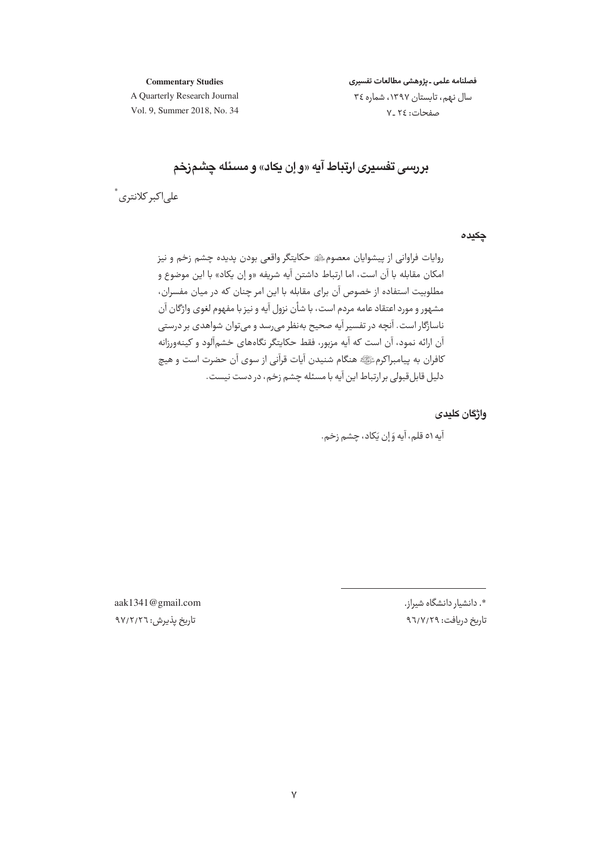**Commentary Studies** 

فصلنامه علمى ـ پژوهشى مطالعات تفسيرى

A Quarterly Research Journal Vol. 9, Summer 2018, No. 34 سال نهم، تابستان ١٣٩٧، شماره ٣٤ صفحات: ٢٤ ـ٧

بررسی تفسیری ارتباط آیه «و اِن یکاد» و مسئله چشمزخم

علے اکبر کلانتری ً

چکیدہ

روايات فراواني از پيشوايان معصومﷺ حكايتگر واقعي بودن پديده چشم زخم و نيز امكان مقابله با آن است، اما ارتباط داشتن آيه شريفه «و إن يكاد» با اين موضوع و مطلوبیت استفاده از خصوص آن برای مقابله با این امر چنان که در میان مفسران، مشهور و مورد اعتقاد عامه مردم است، با شأن نزول آیه و نیز با مفهوم لغوی واژگان آن ناسازگار است. آنچه در تفسیر آیه صحیح بهنظر می رسد و می توان شواهدی بر درستی آن ارائه نمود، آن است که آیه مزبور، فقط حکایتگر نگاههای خشمآلود و کینهورزانه كافران به ييامبراكرمﷺ هنگام شنيدن آيات قرآني از سوي آن حضرت است و هيچ دليل قابل قبولي بر ارتباط اين آيه با مسئله چشم زخم، در دست نيست.

واژگان كليدى

آيه ٥١ قلم، آيه وَ إن يَكاد، چشم زخم.

\*. دانشیار دانشگاه شیراز. تاریخ دریافت: ۹٦/٧/٢٩

aak1341@gmail.com تاریخ یذیرش: ۹۷/۲/۲٦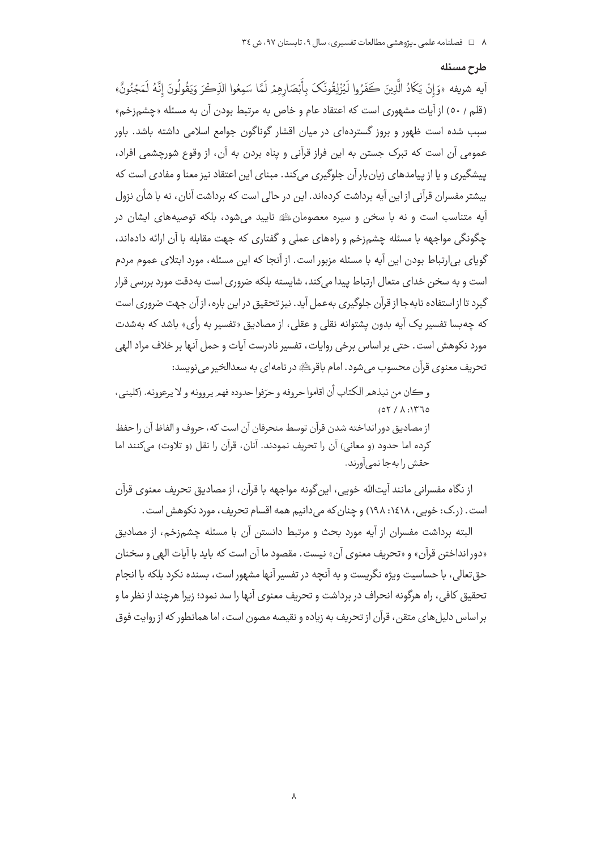#### طرح مسئله

آيه شريفه «وَإِنْ يَكَادُ الَّذِينَ كَفَرُوا لَيُزْلِقُونَكَ بِأَبْصَارِهِمْ لَمَّا سَمِعُوا الذِّكْرَ وَيَقُولُونَ إنَّهُ لَمَجْنُونٌ» (قلم / ٥٠) از آيات مشهوري است كه اعتقاد عام و خاص به مرتبط بودن آن به مسئله «چشمزخم» سبب شده است ظهور و بروز گستردهای در میان اقشار گوناگون جوامع اسلامی داشته باشد. باور عمومي آن است كه تبرك جستن به اين فراز قرآني و پناه بردن به آن، از وقوع شورچشمي افراد، پیشگیری و یا از پیامدهای زبان بار آن جلوگیری می کند. مبنای این اعتقاد نیز معنا و مفادی است که بیشتر مفسران قرآنی از این آیه برداشت کردهاند. این در حالی است که برداشت آنان، نه با شأن نزول .<br>ایه متناسب است و نه با سخن و سیره معصومانﷺ تایید می شود، بلکه توصیههای ایشان در چگونگی مواجهه با مسئله چشمزخم و راههای عملی و گفتاری که جهت مقابله با آن ارائه دادهاند، گویای پی(رتباط بودن این آیه با مسئله مزبور است. از آنجا که این مسئله، مورد ایتلای عموم مردم است و به سخن خدای متعال ارتباط پیدا میکند، شایسته بلکه ضروری است بهدقت مورد بررسی قرار گیرد تا از استفاده نابه جا از قرآن جلوگیری به عمل آید. نیز تحقیق در این باره، از آن جهت ضروری است که چه بسا تفسیر یک آیه بدون یشتوانه نقلی و عقلی، از مصادیق «تفسیر به رأی» باشد که بهشدت مورد نكوهش است. حتى بر اساس برخي روايات، تفسير نادرست آيات و حمل آنها بر خلاف مراد الهي تحريف معنوي قرآن محسوب مي شود. امام باقرﷺ در نامه|ي به سعدالخير مي نويسد:

و ڪان من نيذهم الکتاب أن اقاموا حروفه و حرّفوا حدوده فهم پروونه و لا پرعوونه. (کلينے ،  $(05/1:1770)$ از مصاديق دور انداخته شدن قرآن توسط منحرفان آن است كه، حروف و الفاظ آن را حفظ كرده اما حدود (و معاني) آن را تحريف نمودند. آنان، قرآن را نقل (و تلاوت) ميكنند اما حقش را به جا نمي آورند.

از نگاه مفسرانی مانند آیتالله خویی، این گونه مواجهه با قرآن، از مصادیق تحریف معنوی قرآن است. (ر.ک: خویی، ۱۶۱۸: ۱۹۸) و چنان که می دانیم همه اقسام تحریف، مورد نکوهش است.

البته برداشت مفسران از آیه مورد بحث و مرتبط دانستن آن با مسئله چشمزخم، از مصادیق «دور انداختن قرآن» و «تحريف معنوى آن» نيست. مقصود ما آن است كه بايد با آيات الهي و سخنان حق تعالی، با حساسیت ویژه نگریست و به آنچه در تفسیر آنها مشهور است، بسنده نکرد بلکه با انجام تحقیق کافی، راه هرگونه انحراف در برداشت و تحریف معنوی آنها را سد نمود؛ زیرا هرچند از نظر ما و بر اساس دلیل های متقن، قرآن از تحریف به زیاده و نقیصه مصون است، اما همانطور که از روایت فوق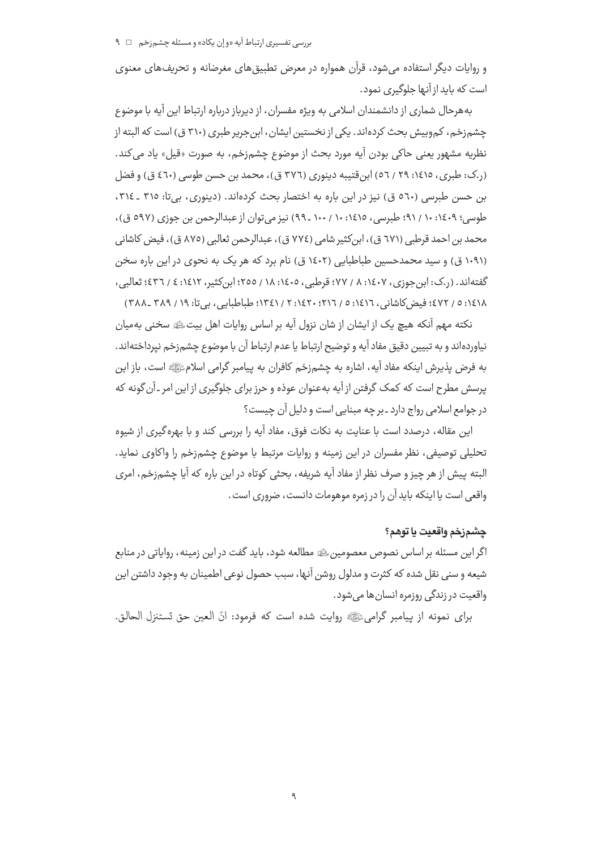و روایات دیگر استفاده می شود، قرآن همواره در معرض تطبیق های مغرضانه و تحریف های معنوی است که باید از آنها جلوگیری نمود.

بههرحال شماری از دانشمندان اسلامی به ویژه مفسران، از دیرباز درباره ارتباط این آیه با موضوع چشم;خم، کم,وبیش بحث کردهاند. یکی از نخستین ایشان، ابن جریر طبری (۳۱۰ ق) است که البته از نظريه مشهور يعني حاكي بودن آيه مورد بحث از موضوع چشم;خم، به صورت «قيل» ياد مي كند. (ر.ک: طبری، ۱٤١٥: ٢٩ / ٥٦) ابن قتيبه دينوري (٣٧٦ ق)، محمد بن حسن طوسي (٤٦٠ ق) و فضل بن حسن طبرسی (٥٦٠ ق) نیز در این باره به اختصار بحث کردهاند. (دینوری، بیتا: ٣١٥ ـ ٣١٤، طوسی؛ ۱۶۰۹: ۱۰ / ۹۱؛ طبرسی، ۱۶۱۵: ۱۰۰ / ۱۰۰ ـ ۹۹) نیز می توان از عبدالرحمن بن جوزی (۵۹۷ ق)، محمد بن احمد قرطبي (٦٧١ ق)، ابن كثير شامي (٧٧٤ ق)، عبدالرحمن ثعالبي (٨٧٥ ق)، فيض كاشاني (۱۰۹۱ ق) و سید محمدحسین طباطبایی (۱٤۰۲ ق) نام برد که هر یک به نحوی در این باره سخن گفته اند. (ر.ک: این جوزی، ۱٤٠٧، ۸ / ۷۷؛ قرطبی، ۱٤٠٥، ۱۸ / ۲٥٥؛ این کثیر، ۱٤١٢؛ ٤ / ٤٣٦؛ ثعالبی، ١٤١٨: ٥ / ٤٧٢؛ فيض كاشاني، ١٤١٦: ٥ / ١٢١٦؛ ١٤٢٠: ٢ / ١٣٤١: طباطبايي، بي تا: ١٩ / ٣٨٩ \_٣٨٨ ]

نکته مهم آنکه هیچ یک از ایشان از شان نزول آیه بر اساس روایات اهل بیتﷺ سخنی بهمیان نياوردهاند و به تبيين دقيق مفاد آيه و توضيح ارتباط يا عدم ارتباط آن با موضوع چشم;خم نپرداختهاند. به فرض پذیرش اینکه مفاد آیه، اشاره به چشم;خم کافران به پیامبر گرامی اسلامﷺ است، باز این پرسش مطرح است که کمک گرفتن از آیه بهعنوان عوذه و حرز برای جلوگیری از این امر ـ آن گونه که در جوامع اسلامي رواج دارد ـ بر چه مبنايي است و دليل آن چيست؟

این مقاله، درصدد است با عنایت به نکات فوق، مفاد آیه را بررسی کند و با بهرهگیری از شیوه تحلیلی توصیفی، نظر مفسران در این زمینه و روایات مرتبط با موضوع چشمزخم را واکاوی نماید. البته پیش از هر چیز و صرف نظر از مفاد آیه شریفه، بحثی کوتاه در این باره که آیا چشم;خم، امری واقعى است يا اينكه بايد آن را در زمره موهومات دانست، ضرورى است.

# چشمزخم واقعيت يا توهم؟

اگر این مسئله بر اساس نصوص معصومین ﷺ مطالعه شود، باید گفت در این زمینه، روایاتی در منابع شيعه و سني نقل شده كه كثرت و مدلول روشن آنها، سبب حصول نوعي اطمينان به وجود داشتن اين واقعیت در زندگی روزمره انسان ها می شود.

براي نمونه از پيامبر گراميﷺ روايت شده است كه فرمود: انّ العين حق تستنزل الحالق.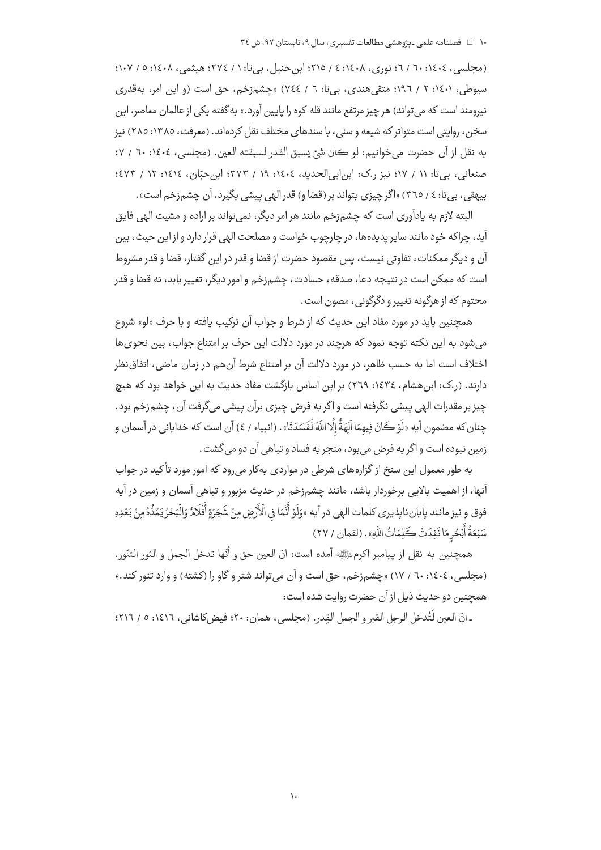(مجلسی، ١٤٠٤: ٦٠ / ٦٠ نوري، ١٤٠٨: ٤ / ٢١٥؛ ابن حنبل، بي تا: ١ / ٢٧٤؛ هيثمي، ١٠٤: ٥ / ١٠٧؛ سیوطی، ۱٤٠١: ۲ / ١٩٦٢؛ متقی هندی، بی تا: ٦ / ٧٤٤) «چشمزخم، حق است (و این امر، بهقدری نیرومند است که می تواند) هر چیز مرتفع مانند قله کوه را پایین آورد.» به گفته یکی از عالمان معاصر، این سخن، روایتی است متواتر که شیعه و سنی، با سندهای مختلف نقل کردهاند. (معرفت، ۱۳۸۵: ۲۸۵) نیز به نقل از آن حضرت مي خوانيم: لو كان شيَّ يسبق القدر لسبقته العين. (مجلسي، ١٤٠٤: ٦٠ / ٧؛ صنعاني، بي تا: ١١ / ١٧؛ نيز ر.ک: ابن ابي الحديد، ١٤٠٤: ١٩ / ٣٧٣؛ ابن حبّان، ١٤١٤: ١٢ / ٤٧٣؛ بیهقی، بیتا: ٤ / ٣٦٥) «اگر چیزی بتواند بر (قضا و) قدر الهی پیشی بگیرد، آن چشمزخم است».

البته لازم به پادآوری است که چشمزخم مانند هر امر دیگر، نمی تواند بر اراده و مشیت الهی فایق .<br>آید، چراکه خود مانند سایر پدیدهها، در چارچوب خواست و مصلحت الهی قرار دارد و از این حیث، بین آن و دیگر ممکنات، تفاوتی نیست، پس مقصود حضرت از قضا و قدر در این گفتار، قضا و قدر مشروط است که ممکن است در نتیجه دعا، صدقه، حسادت، چشم;خم و امور دیگر، تغییر پاید، نه قضا و قدر محتوم که از هرگونه تغییر و دگرگونی، مصون است .

همچنین باید در مورد مفاد این حدیث که از شرط و جواب آن ترکیب یافته و با حرف «لو» شروع میشود به این نکته توجه نمود که هرچند در مورد دلالت این حرف بر امتناع جواب، بین نحوی ها اختلاف است اما به حسب ظاهر، در مورد دلالت آن بر امتناع شرط آنهم در زمان ماضی، اتفاق نظر دارند. (ر.ک: ابن هشام، ١٤٣٤: ٢٦٩) بر اين اساس بازگشت مفاد حديث به اين خواهد بود که هيچ چيز بر مقدرات الهي پيشي نگرفته است و اگر به فرض چيزي برآن پيشي ميگرفت آن، چشم;خم بود. چنان که مضمون آيه «لَوْ كَانَ فِيهِمَا آلِهَةٌ إِلَّا اللَّهُ لَفَسَدَتَا». (انبياء / ٤) آن است که خداياني در آسمان و زمین نبوده است و اگر به فرض می بود، منجر به فساد و تباهی آن دو می گشت .

به طور معمول این سنخ از گزارههای شرطی در مواردی بهکار می رود که امور مورد تأکید در جواب آنها، از اهمیت بالایی برخوردار باشد، مانند چشمزخم در حدیث مزبور و تباهی آسمان و زمین در آیه فوق و نيز مانند پايانناپذيري كلمات الهي در آيه «وَلَوْ أَنَّمَا في الْأَرْضِ مِنْ شَجَرَةٍ أَقْلَامٌ وَالْبَحْرُ يَمُدُّهُ مِنْ بَعْدِهِ سَبْعَةُ أَبْحُرِ مَا نَفِدَتْ كَلِمَاتُ اللَّهِ» . (لقمان / ٢٧)

همچنين به نقل از پيامبر اكرمﷺ آمده است: انّ العين حق و أنّها تدخل الجمل و الثور التنّور. (مجلسی، ١٤٠٤: ٦٠ / ١٧) «چشمزخم، حق است و آن می تواند شتر و گاو را (کشته) و وارد تنور کند.» همچنین دو حدیث ذیل از آن حضرت روایت شده است:

ـ انّ العين لَتُدخل الرجل القبر و الجمل القِدر . (مجلسي ، همان: ٢٠؛ فيض كاشاني ، ١٤١٦: ٥ / ٢١٦؛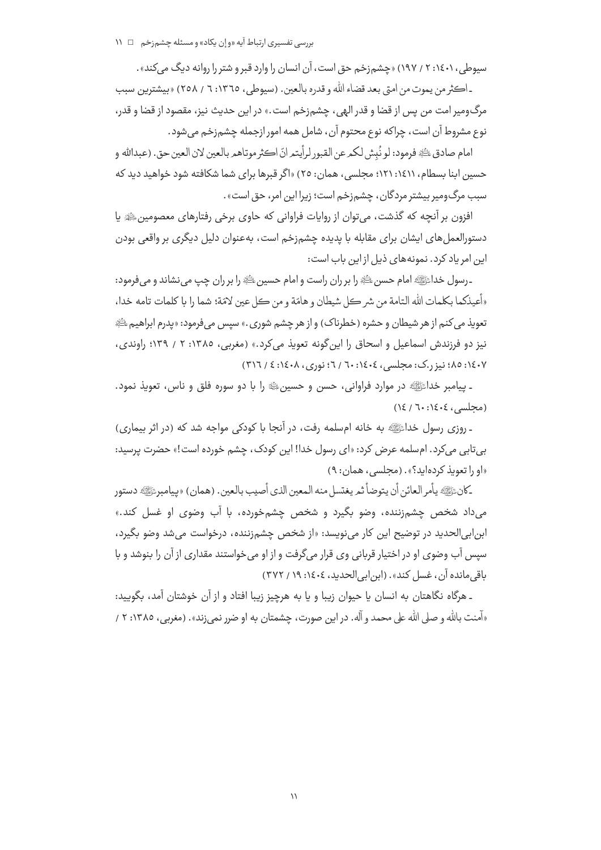سیوطی، ۱۶۰۱: ۲ / ۱۹۷) «چشمزخم حق است، آن انسان را وارد قبر و شتر را روانه دیگ میکند». ـ اڪثر من يموت من امتي بعد قضاء الله و قدره بالعين. (سيوطي، ١٣٦٥: ٦ / ٢٥٨) «بيشترين سبب مرگ ومیر امت من پس از قضا و قدر الهی ، چشم زخـم است .» در این حدیث نیز، مقصود از قضا و قدر،

نوع مشروط آن است، چراکه نوع محتوم آن، شامل همه امور ازجمله چشم;خم می شود.

امام صادق ﷺ فرمود: لو نُبِش لكيرعن القبور لرأيتير انّ اكثر موتاهير بالعين لان العين حق. (عبدالله و حسین ابنا بسطام، ۱۶۱۱: ۱۲۱: مجلسی، همان: ۲٥) «اگر قبرها برای شما شکافته شود خواهید دید که سبب مرگ ومیر بیشتر مردگان ، چشم زخم است؛ زیرا این امر، حق است» .

افزون بر آنچه که گذشت، می توان از روایات فراوانی که حاوی برخی رفتارهای معصومین ﷺ پا دستورالعمل های ایشان برای مقابله با پدیده چشمزخم است، بهعنوان دلیل دیگری بر واقعی بودن این امر یاد کرد. نمونههای ذیل از این باب است:

۔رسول خداﷺ امام حسن ﷺ را بر ران راست و امام حسین ﷺ را بر ران چپ مے ،نشاند و مے فرمود: «أعيذكما بكلمات الله التامة من شر كل شيطان و هامّة و من كل عين لامّة؛ شما را با كلمات تامه خدا، تعويذ مي كنم از هر شيطان و حشره (خطرناك) و از هر چشم شوري .» سپس ميفرمود: «پدرم ابراهيم ﷺ نیز دو فرزندش اسماعیل و اسحاق را این گونه تعویذ می کرد.» (مغربی، ۱۳۸۵: ۲ / ۱۳۹؛ راوندی، ۱٤٠٧: ٨٥؛ نيزر.ک: مجلسي، ١٤٠٤: ٦٠ / ٦: نوري، ١٤٠١٤: ٤ / ٣١٦)

۔ پیامبر خداﷺ در موارد فراوانی، حسن و حسینﷺ را با دو سورہ فلق و ناس، تعویذ نمود.  $(12/7 \cdot 15.5)$  (محلسي)

ـ روزي رسول خداﷺ به خانه امسلمه رفت، در آنجا با كودكي مواجه شد كه (در اثر بيماري) بی تابی میکرد. ام سلمه عرض کرد: «ای رسول خدا! این کودک، چشم خورده است!» حضرت پرسید: «او را تعویذ کردهاید؟». (محلسی، همان: ۹)

-كانﷺ يأمر العائن أن يتوضأ ثمر يغتسل منه المعين الذي أصيب بالعين. (همان) «بيامبرﷺ دستور میداد شخص چشمزننده، وضو بگیرد و شخص چشمخورده، با آب وضوی او غسل کند.» ابن|بی|لحدید در توضیح این کار میiویسد: «از شخص چشم;ننده، درخواست میشد وضو بگیرد، سیس آب وضوی او در اختیار قربانی وی قرار میگرفت و از او میخواستند مقداری از آن را بنوشد و با باقي مانده آن ، غسل كند» . (ابن ابي الحديد ، ٤٠٤١: ١٩ / ٣٧٢)

ـ هرگاه نگاهتان به انسان یا حیوان زیبا و یا به هرچیز زیبا افتاد و از آن خوشتان آمد، بگویید: «آمنت بالله و صلى الله على محمد و آله. در اين صورت، چشمتان به او ضرر نمى زند». (مغربي، ١٣٨٥: ٢ /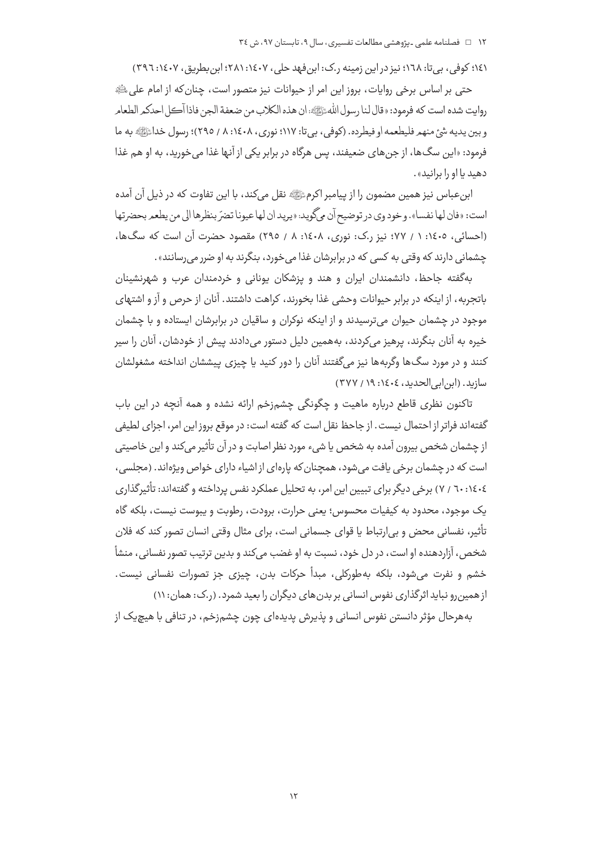١٤١؛ کوفی، بی تا: ١٦٨؛ نیز در این زمینه ر.ک: ابن فهد حلی، ١٤٠٧؛ ٢٨١: ابن بطریق، ١٤٠٧: ٣٩٦)

حتی بر اساس برخی روایات، بروز این امر از حیوانات نیز متصور است، چنان که از امام علی ﷺ روايت شده است كه فرمود: «قال لنا <sub>د</sub>سول اللهﷺ؛ إن هذه الكلاب من ضعفة الجن فاذا آڪل احدكمر الطعامر و بين يديه شئ منهم فليطعمه او فيطرده. (كوفي، بي تا: ١١٧؛ نوري، ١٤٠٨، ٨ / ٢٩٥)؛ رسول خداءًإِيَّةٍ به ما فرمود: «این سگ۱ها، از جن های ضعیفند، پس هرگاه در برابر یکی از آنها غذا می خورید، به او هم غذا دهند با او را برانند».

ابن عباس نیز همین مضمون را از پیامبر اکرمﷺ نقل میکند، با این تفاوت که در ذیل آن آمده است: «فان لها نفسا». و خود وي در توضيح أن مي گويد: «پريد ان لها عيونا تضرّ بنظرها إلى من يطعمر بحضر تها (احسائی، ١٤٠٥: ١ / ٧٧؛ نيز ر.ک: نوري، ١٤٠٨: ٨ / ٢٩٥) مقصود حضرت آن است که سگ&ا، چشمانی دارند که وقتی به کسی که در برابرشان غذا می خورد، بنگرند به او ضرر می <sub>د</sub>سانند».

بهگفته جاحظ، دانشمندان ایران و هند و یزشکان یونانی و خردمندان عرب و شهرنشینان باتجربه، از اینکه در برابر حیوانات وحشی غذا بخورند، کراهت داشتند. آنان از حرص و آز و اشتهای موجود در چشمان حیوان میترسیدند و از اینکه نوکران و ساقیان در برابرشان ایستاده و با چشمان خیره به آنان بنگرند، پرهیز میکردند، بههمین دلیل دستور میدادند پیش از خودشان، آنان را سپر کنند و در مورد سگ@ا وگربهها نیز میگفتند آنان را دور کنید یا چیزی پیششان انداخته مشغولشان سازيد. (ابن ابي الحديد، ١٤٠٤: ١٩/ ٣٧٧)

تاکنون نظری قاطع درباره ماهیت و چگونگی چشمزخم ارائه نشده و همه آنچه در این باب گفته|ند فراتر از احتمال نیست. از جاحظ نقل است که گفته است: در موقع بروز این امر، اجزای لطیفی از چشمان شخص بیرون آمده به شخص یا شیء مورد نظر اصابت و در آن تأثیر میکند و این خاصیتی است که در چشمان برخی یافت می شود، همچنان که پارهای از اشیاء دارای خواص ویژهاند. (مجلسی، ٢٠٤٤٤٤: ٧٠ / ٧) برخي ديگر براي تبيين اين امر، به تحليل عملكرد نفس پرداخته و گفتهاند: تأثيرگذاري یک موجود، محدود به کیفیات محسوس؛ یعنی حرارت، برودت، رطوبت و پیوست نیست، بلکه گاه تأثیر، نفسانی محض و بی|رتباط یا قوای جسمانی است، برای مثال وقتی انسان تصور کند که فلان شخص، آزاردهنده او است، در دل خود، نسبت به او غضب مے كند و بدين ترتيب تصور نفساني، منشأ خشم و نفرت می شود، بلکه بهطورکلی، مبدأ حرکات بدن، چیزی جز تصورات نفسانی نیست. از همین رو نباید اثرگذاری نفوس انسانی بر بدن های دیگران را بعید شمرد. (ر.ک: همان: ۱۱)

بههرحال مؤثر دانستن نفوس انسانی و پذیرش پدیدهای چون چشمزخم، در تنافی با هیچیک از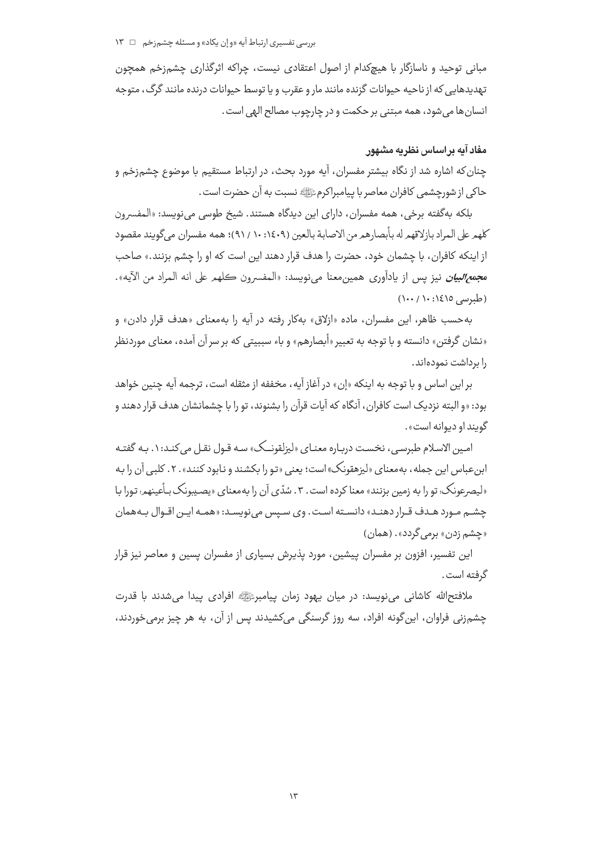مبانی توحید و ناسازگار با هیچکدام از اصول اعتقادی نیست، چراکه اثرگذاری چشمزخم همچون تهدیدهایی که از ناحیه حیوانات گزنده مانند مار و عقرب و یا توسط حیوانات درنده مانند گرگ، متوجه انسان ها مي شود، همه مبتني بر حكمت و در چارچوب مصالح الهي است.

# مغاد آبه پر اساس نظریه مشهور

چنان که اشاره شد از نگاه بیشتر مفسران، آیه مورد بحث، در ارتباط مستقیم با موضوع چشمزخم و حاكي از شورچشمي كافران معاصر با پيامبراكرمﷺ نسبت به آن حضرت است .

بلکه بهگفته برخی، همه مفسران، دارای این دیدگاه هستند. شیخ طوسی مینویسد: «المفسرون كلهمرعلى المراد بازلاقهم له بأبصارهم من الاصابة بالعين (١٤٠٩ / ٩١)؛ همه مفسران مي گويند مقصود از اینکه کافران، با چشمان خود، حضرت را هدف قرار دهند این است که او را چشم بزنند.» صاحب مجم*ع البيان* نيز پس از يادآوري همين معنا ميiويسد: «المفسرون كلهم على انه المراد من الآيه».  $(1 \cdots / 1 \cdots 1 \epsilon)$ 0 (طبرسی)

به حسب ظاهر، این مفسران، ماده «ازلاق» بهکار رفته در آیه را بهمعنای «هدف قرار دادن» و «نشان گرفتن» دانسته و با توجه به تعبیر «أبصارهم» و باء سببیتی که بر سر آن آمده، معنای موردنظر را برداشت نمودهاند.

بر اين اساس و با توجه به اينكه «إن» در آغاز آيه، مخففه از مثقله است، ترجمه آيه چنين خواهد بود: «و البته نزدیک است کافران، آنگاه که آیات قرآن را بشنوند، تو را با چشمانشان هدف قرار دهند و گويند او ديوانه است».

امین الاسلام طبرسی، نخست درباره معنای «لیزلقونــک» سـه قـول نقـل می کنـد: ۱. بـه گفتـه ابن عباس این جمله، به معنای «لیزهقونک» است؛ یعنی «تو را بکشند و نابود کنند» . ۲ . کلبی آن را به «لیصرعونک؛ تو را به زمین بزنند» معنا کرده است . ۳ . سُدّي آن را به معناي «پصـیبونک بـأعینهم؛ تورا بـا چشـم مـورد هـدف قـرار دهنـد» دانسـته اسـت. وي سـيس مينويسـد: «همـه ايـن اقـوال بـههمان «چشم زدن» برمی گردد». (همان)

این تفسیر، افزون بر مفسران پیشین، مورد پذیرش بسیاری از مفسران پسین و معاصر نیز قرار گرفته است .

ملافتح|لله كاشاني مي،نويسد: در ميان يهود زمان پيامبرﷺ افرادي پيدا مي،شدند با قدرت چشمزنی فراوان، این گونه افراد، سه روز گرسنگی میکشیدند پس از آن، به هر چیز برمی خوردند،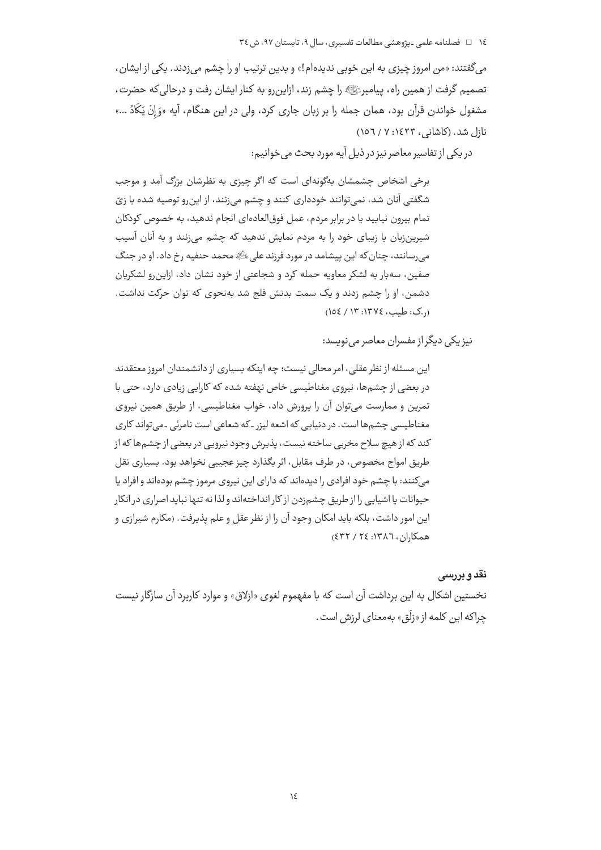میگفتند: «من امروز چیزی به این خوبی ندیدهام!» و بدین ترتیب او را چشم میزدند. یکی از ایشان، تصميم گرفت از همين راه، پيامبرﷺ را چشم زند، ازاين,رو به كنار ايشان رفت و درحالي كه حضرت، مشغول خواندن قرآن بود، همان جمله را بر زبان جاری کرد، ولی در این هنگام، آیه «وَ إِنْ يَكَادُ ...» نازل شد. (كاشاني، ۱٤٢٣: ۷ / ١٥٦)

در یکی از تفاسیر معاصر نیز در ذیل آیه مورد بحث می خوانیم:

برخی اشخاص چشمشان بهگونهای است که اگر چیزی به نظرشان بزرگ آمد و موجب شگفتی آنان شد، نمی توانند خودداری کنند و چشم می;نند، از این,رو توصیه شده با زیّ تمام بیرون نیایید یا در برابر مردم، عمل فوق|لعاده|ی انجام ندهید، به خصوص کودکان شیرین;بان یا زیبای خود را به مردم نمایش ندهید که چشم می;نند و به آنان آسیب می رسانند، چنان که این پیشامد در مورد فرزند علی ﷺ محمد حنفیه رخ داد. او در جنگ صفين، سەبار بە لشكر معاويه حمله كرد و شجاعتی از خود نشان داد، ازاين رو لشكريان دشمن، او را چشم زدند و یک سمت بدنش فلج شد بهنحوی که توان حرکت نداشت. ( کی: طبب، ١٣٧٤: ١٢٣ / ١٥٤)

نیز یکی دیگر از مفسران معاصر مینویسد:

این مسئله از نظر عقلی، امر محالی نیست؛ چه اینکه بسیاری از دانشمندان امروز معتقدند در بعضی از چشمها، نیروی مغناطیسی خاص نهفته شده که کارایی زیادی دارد، حتی با تمرین و ممارست می توان آن را پرورش داد، خواب مغناطیسی، از طریق همین نیروی مغناطیسی چشم ها است. در دنیایی که اشعه لیزر ـ که شعاعی است نامرئی ـ می تواند کاری کند که از هیچ سلاح مخربی ساخته نیست، پذیرش وجود نیرویی در بعضی از چشمها که از طريق امواج مخصوص، در طرف مقابل، اثر بگذارد چيز عجيبي نخواهد بود. بسياري نقل می کنند: با چشم خود افرادی را دیدهاند که دارای این نیروی مرموز چشم بودهاند و افراد یا حیوانات یا اشیایی را از طریق چشمزدن از کار انداختهاند و لذا نه تنها نباید اصراری در انکار این امور داشت، بلکه باید امکان وجود آن را از نظر عقل و علم پذیرفت. (مکارم شیرازی و همكاران، ١٣٨٦: ٢٤ / ٤٣٢)

# نقد و بررسی

نخستین اشکال به این برداشت آن است که با مفهموم لغوی «ازلاق» و موارد کاربرد آن سازگار نیست چراکه این کلمه از «زِلَق» بهمعنای لرزش است.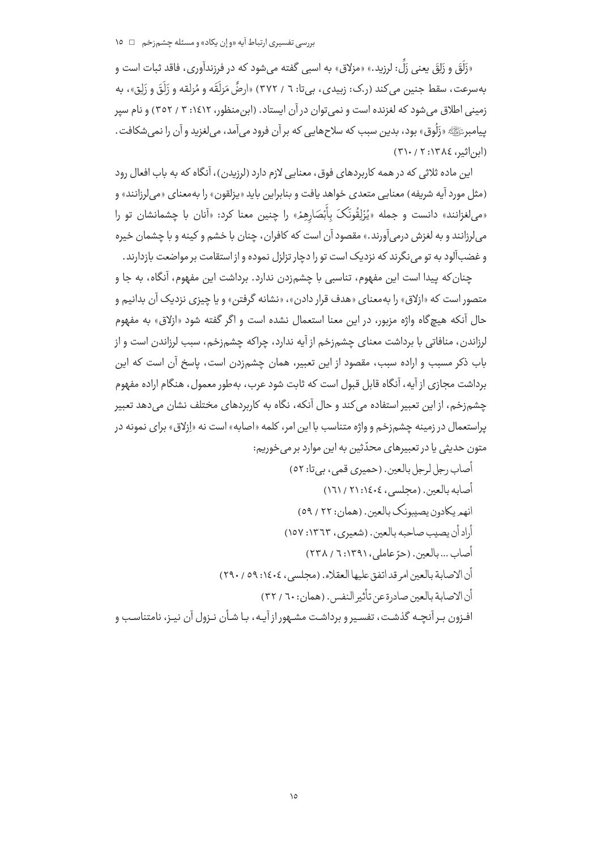«زَلَقَ و زَلِقَ یعنی زَلِّ: لرزید.» «مزلاق» به اسبی گفته میشود که در فرزندآوری، فاقد ثبات است و بهسرعت، سقط جنين مي كند (ر.ک: زبيدي، بيi: ٦ / ٣٧٢) «ارضَّ مَزلَقَه و مُزلقه و زَلَقَ و زَلِق»، به زمینی اطلاق می شود که لغزنده است و نمی توان در آن ایستاد. (ابن منظور، ۱٤١٢: ۳ / ۳٥٢) و نام سیر پيامبرﷺ «زَلُوق» بود، بدين سبب كه سلاحهايي كه بر آن فرود مي آمد، مي لغزيد و آن را نمي شكافت . (ابن اثیر، ١٣٨٤: ٢١٠/ ٣١٠)

این ماده ثلاثی که در همه کاربردهای فوق، معنایی لازم دارد (لرزیدن)، آنگاه که به باب افعال رود (مثل مورد آيه شريفه) معنايي متعدي خواهد يافت و بنابراين بايد «پزلقون» را به معناي «مي لرزانند» و «می لغزانند» دانست و جمله «یُزْلِقُونَکَ بِأَبْصَارِهِمْ» را چنین معنا کرد: «آنان با چشمانشان تو را می لرزانند و به لغزش درمی آورند.» مقصود آن است که کافران، چنان با خشم و کینه و با چشمان خیره و غضبآلود به تو می نگرند که نزدیک است تو را دچار تزلزل نموده و از استقامت بر مواضعت بازدارند.

چنان كه پيدا است اين مفهوم، تناسبي با چشم;دن ندارد. برداشت اين مفهوم، آنگاه، به جا و متصور است که «ازلاق» را بهمعنای «هدف قرار دادن»، «نشانه گرفتن» و یا چیزی نزدیک آن بدانیم و حال آنکه هیچگاه واژه مزبور، در این معنا استعمال نشده است و اگر گفته شود «ازلاق» به مفهوم لرزاندن، منافاتی با برداشت معنای چشمزخم از آیه ندارد، چراکه چشمزخم، سبب لرزاندن است و از باب ذکر مسبب و اراده سبب، مقصود از این تعبیر، همان چشم;دن است، پاسخ آن است که این برداشت مجازی از آیه، آنگاه قابل قبول است که ثابت شود عرب، بهطور معمول، هنگام اراده مفهوم چشم;خم، از این تعبیر استفاده می کند و حال آنکه، نگاه به کاربردهای مختلف نشان می دهد تعبیر پراستعمال در زمینه چشمزخم و واژه متناسب با این امر، کلمه «اصابه» است نه «اِزلاق» برای نمونه در متون حدیثی یا در تعبیرهای محدّثین به این موارد بر می خوریم: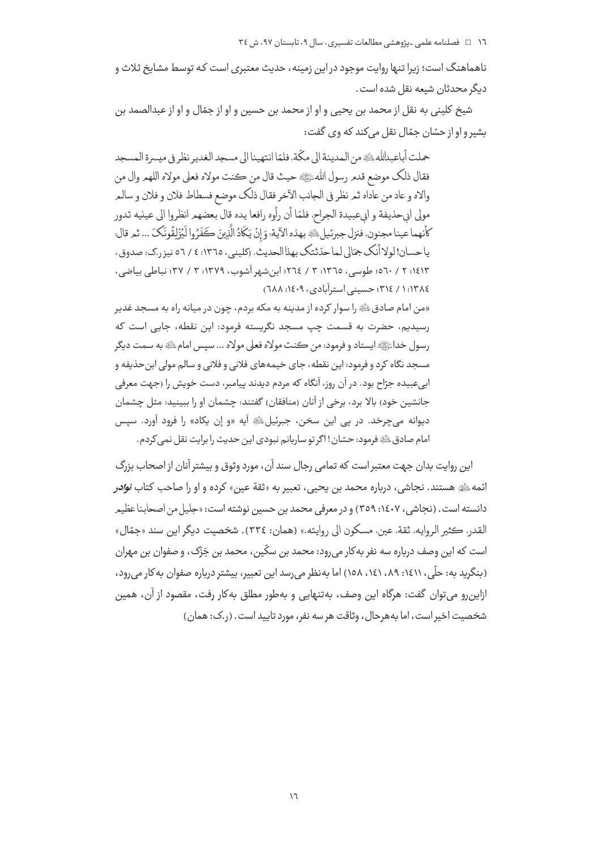ناهماهنگ است؛ زیرا تنها روایت موجود در این زمینه، حدیث معتبری است که توسط مشایخ ثلاث و ديگر محدثان شيعه نقل شده است .

شیخ کلینی به نقل از محمد بن یحیی و او از محمد بن حسین و او از جمّال و او از عبدالصمد بن بشير و او از حسّان جمّال نقل مي كند كه وي گفت:

حملت أباعبدالله ، وفي المدينة الى مكَّة، فلمّا انتهينا الى مسجد الغدير نظر في ميسرة المسجد فقال ذلك موضع قدم رسول اللهﷺ حيث قال من كنت مولاه فعلى مولاه اللهم وال من والاه و عاد من عاداه ثمر نظر في الجانب الآخر فقال ذلك موضع فسطاط فلان و فلان و سالمر مولى ابىحذيفة و ابىعبيدة الجراح، فلمّا أن رأوه رافعا يده قال بعضهم انظروا الى عينيه تدور كأنهما عينا مجنون، فنزل جبرئيل لِحْدِ بهذه الآية: وَ إِنْ يَكَادُ الَّذِينَ كَفَرُوا لَيُزْلِقُونَكَ ... ثمر قال: ياحسان!لولاأنك جمّالي لماحدّثتك بهذاالحديث. (كليني، ١٣٦٥: ٤ / ٥٦ نيز رك: صدوق، ١٤١٣: ٢ / ٥٦٠؛ طوسى، ١٣٦٥: ٣ / ٢٦٤؛ ابنِ شهر آشوب، ١٣٧٩: ٣ / ٣٧؛ نباطي بياضي، ١:١٣٨٤ / ٣١٤: حسيني استرآبادي، ١٤٠٩: ٢٨٨)

«من امام صادقﷺ را سوار کرده از مدینه به مکه بردم، چون در میانه راه به مسجد غدیر رسیدیم، حضرت به قسمت چپ مسجد نگریسته فرمود: این نقطه، جایے, است که رسول خدائليه ايستاد و فرمود: من ڪنت مولاه فعلي مولاه ... سيس امام ٿَهِ به سمت ديگر مسجد نگاه کرد و فرمود: این نقطه، جای خیمههای فلانی و فلانی و سالم مولی ابن حذیفه و ابي عبيده جرّاح بود. در آن روز، آنگاه كه مردم ديدند پيامبر، دست خويش را (جهت معرفي جانشین خود) بالا برد، برخی از آنان (منافقان) گفتند: چشمان او را ببینید: مثل چشمان ديوانه مي چرخد. در يې اين سخن، جبرئيلﷺ آيه «و إن يكاد» را فرود آورد. سيس امام صادق ﷺ فرمود: حسّان! اگر تو ساربانم نبودی این حدیث را برایت نقل نمی کردم.

این روایت بدان جهت معتبر است که تمامی رجال سند آن، مورد وثوق و بیشتر آنان از اصحاب بزرگ ائمه ﷺ هستند. نجاشی، درباره محمد بن یحیی، تعبیر به «ثقة عین» کرده و او را صاحب کتاب *نوادر* دانسته است . (نجاشی ، ۱٤٠٧: ٣٥٩) و در معرفی محمد بن حسین نوشته است: «جلیل من اصحابنا عظیم القدر، ڪثير الروايه، ثقة، عين، مسكون الي روايته.» (همان: ٣٣٤). شخصيت ديگر اين سند «جمّال» است که این وصف درباره سه نفر به کار می رود: محمد بن سکّین، محمد بن جَزَک، و صفوان بن مهران (بنگرید به: حلّی، ۱٤١١، ٨٩، ١٤١، ١٥٨) اما بهنظر می رسد این تعبیر، بیشتر درباره صفوان به کار می رود، ازاین٫و می توان گفت: هرگاه این وصف، به تنهایی و به طور مطلق به کار رفت، مقصود از آن، همین شخصيت اخير است، اما به هرحال، وثاقت هر سه نفر، مورد تاييد است. (ر.ک: همان)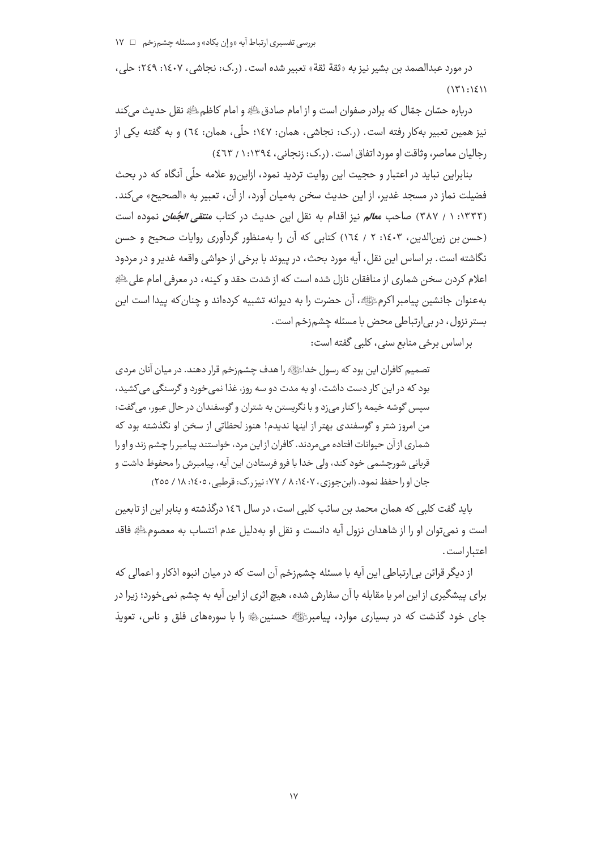در مورد عبدالصمد بن بشير نيز به «ثقة ثقة» تعبير شده است. (ر.ک: نجاشي، ١٤٠٧: ٢٤٩؛ حلي،  $(151:151)$ 

درباره حسّان جمّال که برادر صفوان است و از امام صادقﷺ و امام کاظمﷺ نقل حدیث مے کند نیز همین تعبیر بهکار رفته است. (ر.ک: نجاشی، همان: ۱٤۷؛ حلّی، همان: ٦٤) و به گفته یکی از رجاليان معاصر، وثاقت او مورد اتفاق است. (ر.ک: زنجانی، ١٣٩٤: ١ / ٤٦٣)

بنابراین نباید در اعتبار و حجیت این روایت تردید نمود، ازاین,رو علامه حلّی آنگاه که در بحث فضيلت نماز در مسجد غدير، از اين حديث سخن بهميان آورد، از آن، تعبير به «الصحيح» مي كند. (۱۳۳۳: ۱ / ۳۸۷) صاحب م*عال*م نیز اقدام به نقل این حدیث در کتاب م*نتقی الجُمان* نموده است (حسن بن زین الدین، ۱٤٠٣: ٢ / ١٦٤) كتابى كه آن را بهمنظور گردآورى روایات صحیح و حسن نگاشته است. بر اساس این نقل، آیه مورد بحث، در پیوند با برخی از حواشی واقعه غدیر و در مردود اعلام کردن سخن شماری از منافقان نازل شده است که از شدت حقد و کینه، در معرفی امام علی ﷺ بهعنوان جانشين پيامبر اكرمﷺ، آن حضرت را به ديوانه تشبيه كردهاند و چنان كه پيدا است اين بستر نزول، در بي ارتباطي محض با مسئله چشم;خم است.

براساس برخی منابع سنی، کلبی گفته است:

تصمیم کافران این بود که رسول خدائلیه را هدف چشم;خم قرار دهند. در میان آنان مردی بود که در این کار دست داشت، او به مدت دو سه روز، غذا نمی خورد و گرسنگی می کشید، سپس گوشه خیمه را کنار میزد و با نگریستن به شتران و گوسفندان در حال عبور، میگفت: من امروز شتر و گوسفندی بهتر از اینها ندیدم! هنوز لحظاتی از سخن او نگذشته بود که شماری از آن حیوانات افتاده می مردند. کافران از این مرد، خواستند پیامبر را چشم زند و او را قربانی شورچشمی خود کند، ولی خدا با فرو فرستادن این آیه، پیامبرش را محفوظ داشت و جان او را حفظ نمود. (ابن جوزی، ۱٤٠٧، ۸ / ۷۷؛ نیز ر.ک: قرطبی، ۱٤٠٥، ۱۸ / ۲٥٥)

باید گفت کلبی که همان محمد بن سائب کلبی است، در سال ۱۶۲ درگذشته و بنابر این از تابعین است و نمیٍ توان او را از شاهدان نزول آیه دانست و نقل او بهدلیل عدم انتساب به معصومﷺ فاقد اعتبار است.

از دیگر قرائن بی|رتباطی این آیه با مسئله چشم;خم آن است که در میان انبوه اذکار و اعمالی که برای پیشگیری از این امر یا مقابله با آن سفارش شده، هیچ اثری از این آیه به چشم نمی خورد؛ زیرا در جای خود گذشت که در بسیاری موارد، پیامبرﷺ حسنینﷺ را با سورههای فلق و ناس، تعویذ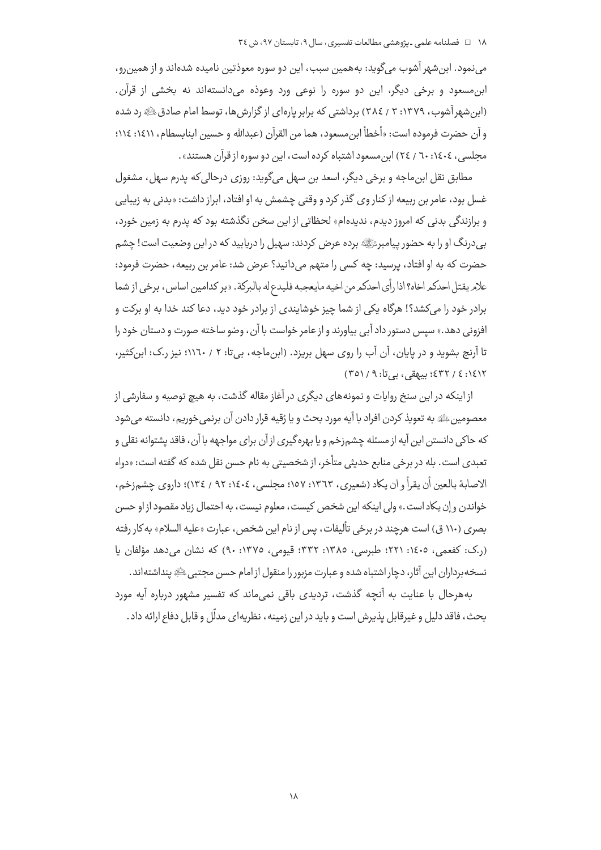مینمود. ابن شهر آشوب میگوید: بههمین سبب، این دو سوره معوذتین نامیده شدهاند و از همین رو، ابن مسعود و برخی دیگر، این دو سوره را نوعی ورد وعوذه میدانستهاند نه بخشی از قرآن. (ابن شهر آشوب، ۱۳۷۹: ۳ / ۳۸٤) برداشتی که برابر یارهای از گزارش ها، توسط امام صادق ﷺ رد شده و آن حضرت فرموده است: «أخطأ ابن مسعود، هما من القرآن (عبدالله و حسين ابنابسطام، ١٤١١: ١١٤: مجلسی، ١٤٠٤: ٦٠ / ٢٤) ابن مسعود اشتباه كرده است، اين دو سوره از قرآن هستند».

مطابق نقل ابن ماجه و برخی دیگر، اسعد بن سهل میگوید: روزی درحالی که پدرم سهل، مشغول غسل بود، عامر بن ربیعه از کنار وی گذر کرد و وقتی چشمش به او افتاد، ابراز داشت: «بدنی به زیبایی و برازندگی بدنی که امروز دیدم، ندیدهام» لحظاتی از این سخن نگذشته بود که پدرم به زمین خورد، بی درنگ او را به حضور پیامبرﷺ برده عرض کردند: سهیل را دریابید که در این وضعیت است! چشم حضرت که به او افتاد، پرسید: چه کسی را متهم میدانید؟ عرض شد: عامر بن ربیعه، حضرت فرمود: علام يقتل احدكمر اخاه؟ اذا رأى احدكم من اخيه مايعجبه فليدع له بالبركة. «بر كدامين اساس، برخي از شما .<br>برادر خود را میکشد؟! هرگاه یکی از شما چیز خوشایندی از برادر خود دید، دعا کند خدا به او برکت و افزوني دهد.» سيس دستور داد آبي بياورند و از عامر خواست با آن، وضو ساخته صورت و دستان خود را تا آرنج بشوید و در پایان، آن آب را روی سهل بریزد. (ابن،ماجه، بی تا: ۲ / ۱۱٦۰؛ نیز ر.ک: ابن کثیر، ٤٣٢/٤١٤١٢)؛ بيبهقي، بي تا: ٣٥١/٩)

از اینکه در این سنخ روایات و نمونههای دیگری در آغاز مقاله گذشت، به هیچ توصیه و سفارشی از معصومین ﷺ به تعویذ کردن افراد با آیه مورد بحث و یا رُقیه قرار دادن آن برنمی خوریم، دانسته می شود که حاکی دانستن این آیه از مسئله چشم;خم و یا بهره گیری از آن برای مواجهه با آن، فاقد پشتوانه نقلی و تعبدي است. بله در برخي منابع حديثي متأخر، از شخصيتي به نام حسن نقل شده كه گفته است: «دواء الاصابة بالعين أن يقرأ و ان يكاد (شعيري، ١٣٦٣: ١٥٧؛ مجلسي، ١٤٠٤: ٩٢ / ١٣٤)؛ داروي چشمزخم، خواندن و إن يكاد است .» ولي اينكه اين شخص كيست، معلوم نيست، به احتمال زياد مقصود از او حسن بصري (١١٠ ق) است هرچند در برخي تأليفات، پس از نام اين شخص ، عبارت «عليه السلام» به كار رفته (ر.ک: کفعمی، ١٤٠٥: ٢٢١؛ طبرسی، ١٣٨٥: ٣٣٢: قیومی، ١٣٧٥: ٩٠) که نشان می دهد مؤلفان یا نسخه برداران این آثار، دچار اشتباه شده و عبارت مزبور را منقول از امام حسن مجتبی ﷺ پنداشته اند.

بههرحال با عنایت به آنچه گذشت، تردیدی باقی نمی ماند که تفسیر مشهور درباره آیه مورد بحث، فاقد دلیل و غیرقابل یذیرش است و باید در این زمینه، نظریهای مدلّل و قابل دفاع ارائه داد.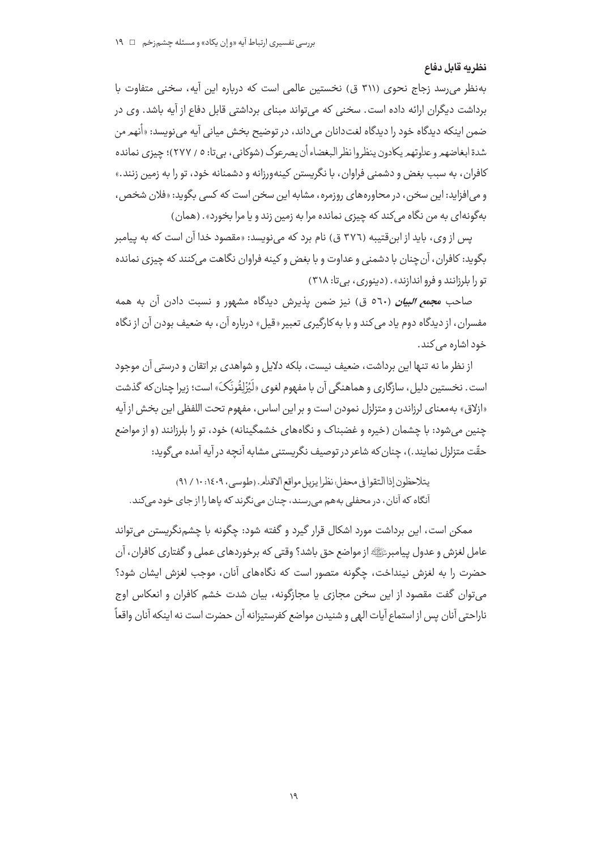### نظريه قابل دفاع

به نظر می رسد زجاج نحوی (۳۱۱ ق) نخستین عالمی است که درباره این آیه، سخنی متفاوت با برداشت دیگران ارائه داده است. سخنی که می تواند مبنای برداشتی قابل دفاع از آیه باشد. وی در ضمن اینکه دیدگاه خود را دیدگاه لغتدانان میداند، در توضیح بخش میانی آیه می;نویسد: «أنهم من شدة ابغاضهمرو علاوتهمريكادون ينظروا نظر البغضاء أن يصرعوك (شوكاني، بي تا: ٥ / ٢٧٧)؛ چيزي نمانده کافران، به سبب بغض و دشمنی فراوان، با نگریستن کینهورزانه و دشمنانه خود، تو را به زمین زنند.» و می افزاید: این سخن، در محاورههای روزمره، مشابه این سخن است که کسی بگوید: «فلان شخص، بهگونه|ی به من نگاه می *کند* که چیزی نمانده مرا به زمین زند و یا مرا بخورد». (همان)

پس از وی، باید از ابنقتیبه (٣٧٦ ق) نام برد که می نویسد: «مقصود خدا آن است که به پیامبر بگوید: کافران، آن چنان با دشمنی و عداوت و با بغض و کینه فراوان نگاهت میکنند که چیزی نمانده تو را بلرزانند و فرو اندازند» . (دینوری، بی تا: ۳۱۸)

صاحب م*جمع البيان* (٥٦٠ ق) نيز ضمن يذيرش ديدگاه مشهور و نسبت دادن آن به همه مفسران، از دیدگاه دوم یاد می کند و با به کارگیری تعبیر «قیل» درباره آن، به ضعیف بودن آن از نگاه خود اشارہ مے کند۔

از نظر ما نه تنها این برداشت، ضعیف نیست، بلکه دلایل و شواهدی بر اتقان و درستی آن موجود است. نخستین دلیل، سازگاری و هماهنگی آن با مفهوم لغوی «لَیُزْلِقُونَکَ» است؛ زیرا چنان که گذشت «ازلاق» به معناي لرزاندن و متزلزل نمودن است و بر اين اساس، مفهوم تحت اللفظي اين بخش از آيه چنین می شود: با چشمان (خیره و غضبناک و نگاههای خشمگینانه) خود، تو را بلرزانند (و از مواضع حقّت متزلزل نمایند.)، چنان که شاعر در توصیف نگریستنی مشابه آنچه در آیه آمده می گوید:

يتلاحظون إذا التقوا في محفل؛ نظرا يزيل مواقع الاقدام. (طوسى، ١٤٠٩: ١٠ / ٩١) آنگاه که آنان، در محفلی به هم می رسند، چنان می نگرند که پاها را از جای خود میکند.

ممکن است، این برداشت مورد اشکال قرار گیرد و گفته شود: چگونه با چشمنگریستن می تواند عامل لغزش و عدول پیامبرﷺ از مواضع حق باشد؟ وقتی که برخوردهای عملی و گفتاری کافران، آن حضرت را به لغزش نینداخت، چگونه متصور است که نگاههای آنان، موجب لغزش ایشان شود؟ می توان گفت مقصود از این سخن مجازی یا مجازگونه، بیان شدت خشم کافران و انعکاس اوج ناراحتي آنان پس از استماع آيات الهي و شنيدن مواضع كفرستيزانه آن حضرت است نه اينكه آنان واقعاً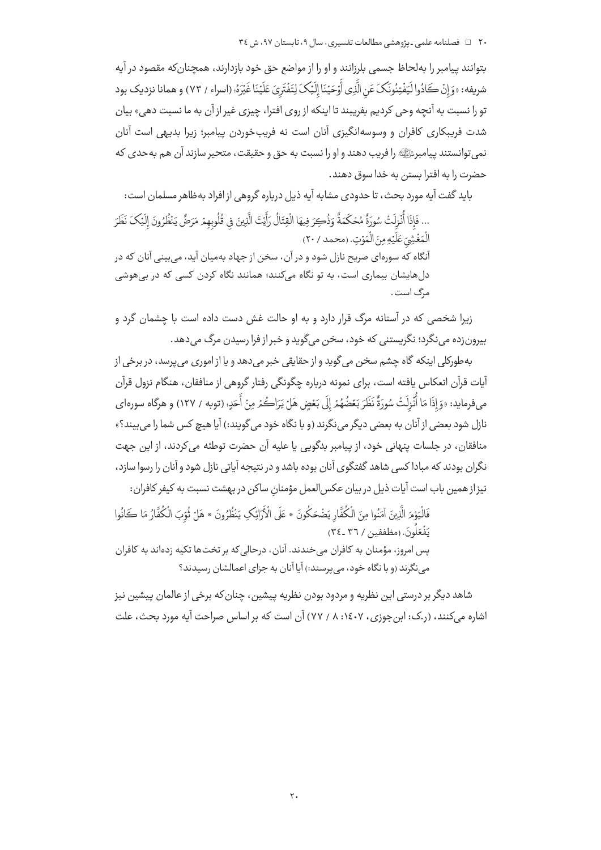بتوانند پیامبر را بهلحاظ جسمی بلرزانند و او را از مواضع حق خود بازدارند، همچنانکه مقصود در آیه شريفه: «وَ إِنْ كَادُوا لَيَفْتِنُونَكَ عَنِ الَّذِي أَوْحَيْنَا إِلَيْكَ لِتَفْتَرِيَ عَلَيْنَا غَيْرَهُ، (اسراء / ٧٣) و همانا نزديك بود تو را نسبت به آنچه وحی کردیم بفریبند تا اینکه از روی افترا، چیزی غیر از آن به ما نسبت دهی» بیان شدت فریبکاری کافران و وسوسهانگیزی آنان است نه فریبخوردن پیامبر؛ زیرا بدیهی است آنان نمي توانستند پيامبرﷺ را فريب دهند و او را نسبت به حق و حقيقت، متحير سازند آن هم به حدي كه حضرت را به افترا بستر، به خدا سوق دهند.

بايد گفت آيه مورد بحث، تا حدودي مشابه آيه ذيل درباره گروهي از افراد به ظاهر مسلمان است: ... فَإِذَا أُنْزِلَتْ سُورَةً مُحْكَمَةً وَذُكِرَ فِيهَا الْقِتَالُ رَأَيْتَ الَّذِينَ في قُلُوبِهِمْ مَرَضً يَنُظُرُونَ إِلَيْكَ نَظَرَ الْمَغْشِيّ عَلَيْهِ مِنَ الْمَوْتِ. (محمد / ٢٠) آنگاه که سورهای صریح نازل شود و در آن، سخن از جهاد بهمیان آید، میبینی آنان که در دلهایشان بیماری است، به تو نگاه میکنند؛ همانند نگاه کردن کسی که در بیهوشی مرگ است.

زیرا شخصی که در آستانه مرگ قرار دارد و به او حالت غش دست داده است با چشمان گرد و بيرونزده مي نگرد؛ نگريستني که خود، سخن مي گويد و خبر از فرا رسيدن مرگ مي دهد.

به طورکلي اينکه گاه چشم سخن مي گويد و از حقايقي خبر مي دهد و يا از اموري مي پرسد، در برخي از .<br>آیات قرآن انعکاس یافته است، برای نمونه درباره چگونگی رفتار گروهی از منافقان، هنگام نزول قرآن مي فرمايد: «وَ إِذَا مَا أَنْزِلَتْ سُورَةٌ نَظَرَ بَعْضُهُمْ إِلَى بَعْضٍ هَلْ يَرَاكُمْ مِنْ أَحَدِ؛ (توبه / ١٢٧) و هرگاه سورهاي نازل شود بعضی از آنان به بعضی دیگر می نگرند (و با نگاه خود می گویند:) آیا هیچ کس شما را می بیند؟» منافقان، در جلسات پنهانی خود، از پیامبر بدگویی یا علیه آن حضرت توطئه میکردند، از این جهت نگران بودند که مبادا کسی شاهد گفتگوی آنان بوده باشد و در نتیجه آیاتی نازل شود و آنان را رسوا سازد، نیزاز همین باب است آیات ذیل در بیان عکس العمل مؤمنان ساکن در بهشت نسبت به کیفر کافران:

فَالْيَوْمَ الَّذِينَ آمَنُوا مِنَ الْكُفَّارِ يَضْحَكُونَ \* عَلَى الْأَرَائِكِ يَنْظُرُونَ \* هَلْ ثُوّبَ الْكُفَّارُ مَا كَانُوا يَفْعَلُونَ. (مظففين / ٣٦ ـ ٣٤) پس امروز، مؤمنان به كافران مى خندند. آنان، درحالى كه بر تخت ها تكيه زدهاند به كافران می نگرند (و با نگاه خود، می پرسند:) آیا آنان به جزای اعمالشان رسیدند؟

شاهد دیگر بر درستی این نظریه و مردود بودن نظریه پیشین، چنان که برخی از عالمان پیشین نیز اشاره می کنند، (ر.ک: این جوزی، ۱٤٠٧: ۸ / ۷۷) آن است که بر اساس صراحت آیه مورد بحث، علت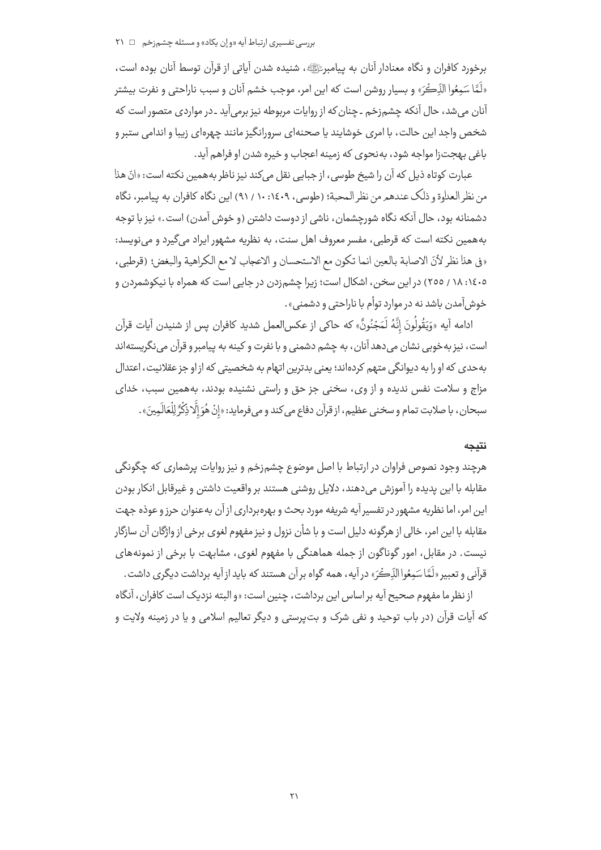### بررسی تفسیری ارتباط آیه «و اِن یکاد» و مسئله چشمزخم □ ۲۱

برخورد كافران و نگاه معنادار آنان به پیامبرﷺ، شنیده شدن آیاتی از قرآن توسط آنان بوده است، «لَمَّا سَمِعُوا الذِّكْرَ» و بسيار روشن است كه اين امر، موجب خشم آنان و سبب ناراحتى و نفرت بيشتر آنان می شد، حال آنکه چشم;خم ـ چنان که از روایات مربوطه نیز برمیآید ـ در مواردی متصور است که شخص واجد این حالت، با امری خوشایند یا صحنهای سرورانگیز مانند چهرهای زیبا و اندامی ستبر و باغي بهجت;ا مواجه شود، به نحوي كه زمينه اعجاب و خيره شدن او فراهم آيد.

عبارت كوتاه ذيل كه آن را شيخ طوسي، از جبايي نقل مي كند نيز ناظر به همين نكته است: «انّ هذا من نظر العداوة و ذلك عندهم من نظر المحبة؛ (طوسى، ١٤٠٩: ١٠ / ٩١) اين نگاه كافران به پيامبر، نگاه دشمنانه بود، حال آنکه نگاه شورچشمان، ناشی از دوست داشتن (و خوش آمدن) است.» نیز با توجه بههمین نکته است که قرطبی، مفسر معروف اهل سنت، به نظریه مشهور ایراد میگیرد و می نویسد: «في هذا نظر لأنّ الاصابة بالعين انما تكون مع الاستحسان و الاعجاب لا مع الكراهية والبغض؛ (قرطبي، ۱٤٠٥: ۱۸ / ٢٥٥) در اين سخن، اشكال است؛ زيرا چشم;دن در جايي است كه همراه با نيكوشمردن و .<br>خوش ,آمدر·، باشد نه در موارد توأم با ناراحتی و دشمنی» .

ادامه آيه «وَيَقُولُونَ إِنَّهُ لَمَجْنُونٌ» كه حاكي از عكس|لعمل شديد كافران يس از شنيدن آيات قرآن است، نیز به خوبی نشان میدهد آنان، به چشم دشمنی و با نفرت و کینه به پیامبر و قرآن مینگریستهاند به حدی که او را به دیوانگی متهم کردهاند؛ یعنی بدترین اتهام به شخصیتی که از او جز عقلانیت، اعتدال مزاج و سلامت نفس ندیده و از وی، سخنی جز حق و راستی نشنیده بودند، بههمین سبب، خدای سبحان، با صلابت تمام و سخني عظيم، از قرآن دفاع مي كند و مي فرمايد: «إنْ هُوَ إِلَّا ذِكْرٌ لِلْعَالَمِينَ» .

#### نتىجە

هرچند وجود نصوص فراوان در ارتباط با اصل موضوع چشم;خم و نیز روایات پرشماری که چگونگی مقابله با این پدیده را آموزش میدهند، دلایل روشنی هستند بر واقعیت داشتن و غیرقابل انکار بودن این امر، اما نظریه مشهور در تفسیر آیه شریفه مورد بحث و بهرهبرداری از آن بهعنوان حرز و عوذه جهت مقابله با این امر، خالی از هرگونه دلیل است و با شأن نزول و نیز مفهوم لغوی برخی از واژگان آن سازگار نیست. در مقابل، امور گوناگون از جمله هماهنگی با مفهوم لغوی، مشابهت با برخی از نمونههای قرآني و تعبير «لَمَّا سَمعُواالذَّكُرَ» در آيه، همه گواه بر آن هستند كه بايد از آيه برداشت ديگري داشت .

از نظر ما مفهوم صحیح آیه بر اساس این برداشت، چنین است: «و البته نزدیک است کافران، آنگاه که آیات قرآن (در باب توحید و نفی شرک و بت پرستی و دیگر تعالیم اسلامی و یا در زمینه ولایت و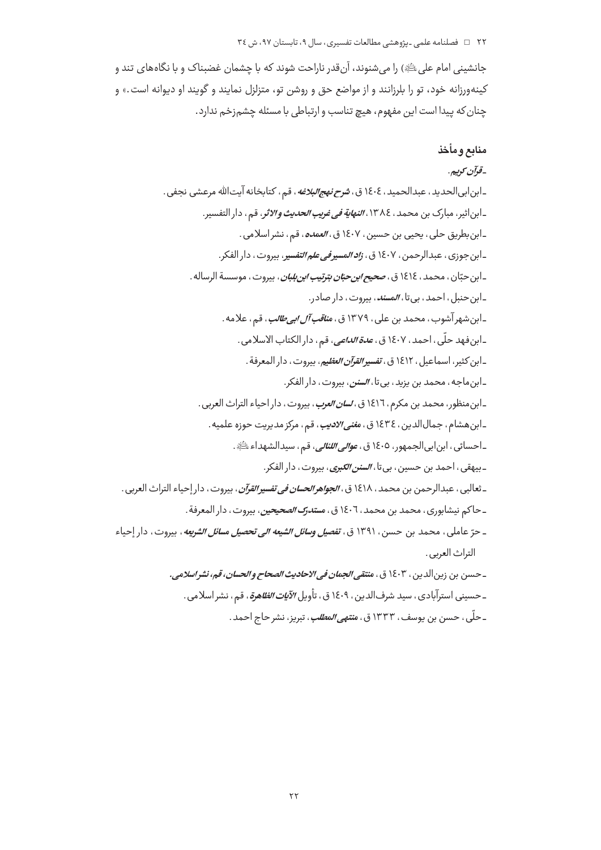#### ۲۲ = فصلنامه علمی ـیژوهشی مطالعات تفسیری، سال ۹، تابستان ۹۷، ش ٣٤

جانشینی امام علی ﷺ) را می شنوند، آنقدر ناراحت شوند که با چشمان غضبناک و با نگاههای تند و کینهورزانه خود، تو را بلرزانند و از مواضع حق و روشن تو، متزلزل نمایند و گویند او دیوانه است.» و چنان كه پيدا است اين مفهوم، هيچ تناسب و ارتباطي با مسئله چشم;خم ندارد.

# منابع ومأخذ

# -قوآن كوييم.

ـابن|بي|لحديد ، عبدالحميد ، ١٤٠٤ ق ، <del>شر*ح نهج|لبلاغه* ، قم ، كتابخانه آيت|لله مرعشى نجفى .</del> ـ ابن|ثير، مبارك بن محمد، ١٣٨٤، *النهاية في غريب الحديث والاثر*، قم، دار التفسير. ـ ابن بطريق حلي ، يحيى بن حسين ، ١٤٠٧ ق ، *العمده* ، قم ، نشر اسلامي . ـابن جوزي ، عبدالرحمن ، ١٤٠٧ ق ، *زاد المسير في علم التفسير* ، بيروت ، دار الفكر . ـابن حبّان ، محمد ، ١٤١٤ ق ، *صحيح ابن حبّان بترتيب ابن بلبان* ، بيروت ، موسسة الرساله . ـابن حنبل، احمد، بي تا، *المسند*، بيروت، دار صادر. ـابن شهر آشوب، محمد بن علي، ١٣٧٩ ق، *مناقب آل ابي طالب*، قم، علامه. ـابن فهد حلّى ، احمد ، ١٤٠٧ ق ، *عدة الداعي*، قم ، دار الكتاب الاسلامي . ـابن كثير، اسماعيل ، ١٤١٢ ق ، *تفسير القرآن العظي*م، بيروت ، دار المعرفة . ـابن ماجه، محمد بن يزيد، بي تا، *السنن*، بيروت، دار الفكر. ـابن منظور، محمد بن مكرم، ١٤١٦ ق، *لسان العرب*، بيروت، دار احياء التراث العربي . ـابن هشام، جمالالدين، ١٤٣٤ ق، م*غنى الاديب*، قم، مركز مديريت حوزه علميه. ـاحسائي ، ابنابي|لجمهور، ١٤٠٥ ق ، *عوالي اللئالي*، قم ، سيدالشهداء ﷺ. ـ بيهقي ، احمد بن حسين ، بي تا ، *السنن الكبرى* ، بيروت ، دار الفكر . \_ثعالبي ، عبدالرحمن بن محمد ، ١٤١٨ ق ، *الجواهر الحسان في تفسير القرآن* ، بيروت ، دار إحياء التراث العربي . ـ حاكم نيشابوري ، محمد بن محمد ، ١٤٠٦ ق ، مس*تدرك الصحيحين* ، بيروت ، دار المعرفة . ـ حرّ عاملي، محمد بن حسن، ١٣٩١ ق، *تفصيل وسائل الشيعه الي تحصيل مسائل الشريعه* ، بيروت، دار إحياء التراث العربي. \_ حسن بن زين الدين ، ١٤٠٣ ق ، م*نتقى الجمان في الاحاديث الصحاح و الحسان، قه، نشر اسلامي.* ـ حسيني استرآبادي، سيد شرف|لدين، ١٤٠٩ ق، تأويل *الآيات الظاهرة*، قم، نشر اسلامي. ـ حلّى، حسن بن يوسف، ١٣٣٣ ق، م*نتهى المطلب*، تبريز، نشر حاج احمد.